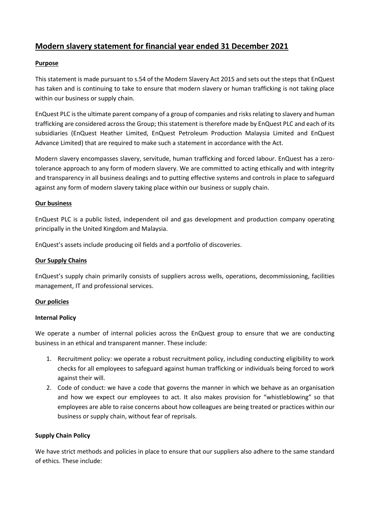# **Modern slavery statement for financial year ended 31 December 2021**

## **Purpose**

This statement is made pursuant to s.54 of the Modern Slavery Act 2015 and sets out the steps that EnQuest has taken and is continuing to take to ensure that modern slavery or human trafficking is not taking place within our business or supply chain.

EnQuest PLC is the ultimate parent company of a group of companies and risks relating to slavery and human trafficking are considered across the Group; this statement is therefore made by EnQuest PLC and each of its subsidiaries (EnQuest Heather Limited, EnQuest Petroleum Production Malaysia Limited and EnQuest Advance Limited) that are required to make such a statement in accordance with the Act.

Modern slavery encompasses slavery, servitude, human trafficking and forced labour. EnQuest has a zerotolerance approach to any form of modern slavery. We are committed to acting ethically and with integrity and transparency in all business dealings and to putting effective systems and controls in place to safeguard against any form of modern slavery taking place within our business or supply chain.

## **Our business**

EnQuest PLC is a public listed, independent oil and gas development and production company operating principally in the United Kingdom and Malaysia.

EnQuest's assets include producing oil fields and a portfolio of discoveries.

### **Our Supply Chains**

EnQuest's supply chain primarily consists of suppliers across wells, operations, decommissioning, facilities management, IT and professional services.

## **Our policies**

#### **Internal Policy**

We operate a number of internal policies across the EnQuest group to ensure that we are conducting business in an ethical and transparent manner. These include:

- 1. Recruitment policy: we operate a robust recruitment policy, including conducting eligibility to work checks for all employees to safeguard against human trafficking or individuals being forced to work against their will.
- 2. Code of conduct: we have a code that governs the manner in which we behave as an organisation and how we expect our employees to act. It also makes provision for "whistleblowing" so that employees are able to raise concerns about how colleagues are being treated or practices within our business or supply chain, without fear of reprisals.

#### **Supply Chain Policy**

We have strict methods and policies in place to ensure that our suppliers also adhere to the same standard of ethics. These include: